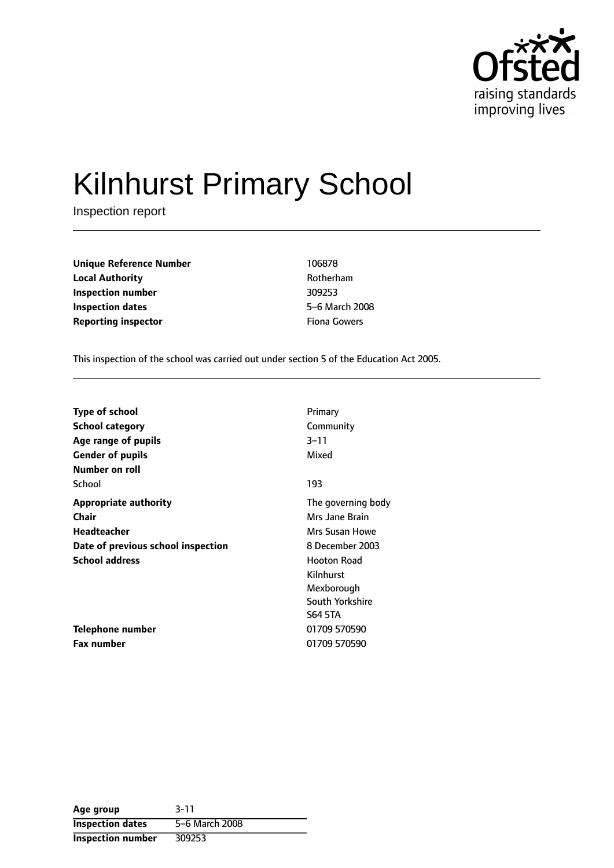

# Kilnhurst Primary School

Inspection report

| <b>Unique Reference Number</b> | 106878              |
|--------------------------------|---------------------|
| <b>Local Authority</b>         | Rotherham           |
| Inspection number              | 309253              |
| Inspection dates               | 5-6 March 20        |
| <b>Reporting inspector</b>     | <b>Fiona Gowers</b> |

**Local Authority** Rotherham **5-6 March 2008** 

This inspection of the school was carried out under section 5 of the Education Act 2005.

| <b>Type of school</b>              | Primary            |
|------------------------------------|--------------------|
| School category                    | Community          |
| Age range of pupils                | $3 - 11$           |
| <b>Gender of pupils</b>            | Mixed              |
| Number on roll                     |                    |
| School                             | 193                |
| <b>Appropriate authority</b>       | The governing body |
| Chair                              | Mrs Jane Brain     |
| <b>Headteacher</b>                 | Mrs Susan Howe     |
| Date of previous school inspection | 8 December 2003    |
| <b>School address</b>              | <b>Hooton Road</b> |
|                                    | Kilnhurst          |
|                                    | Mexborough         |
|                                    | South Yorkshire    |
|                                    | <b>S64 5TA</b>     |
| <b>Telephone number</b>            | 01709 570590       |
| <b>Fax number</b>                  | 01709 570590       |

| Age group                | $3 - 11$       |
|--------------------------|----------------|
| <b>Inspection dates</b>  | 5-6 March 2008 |
| <b>Inspection number</b> | 309253         |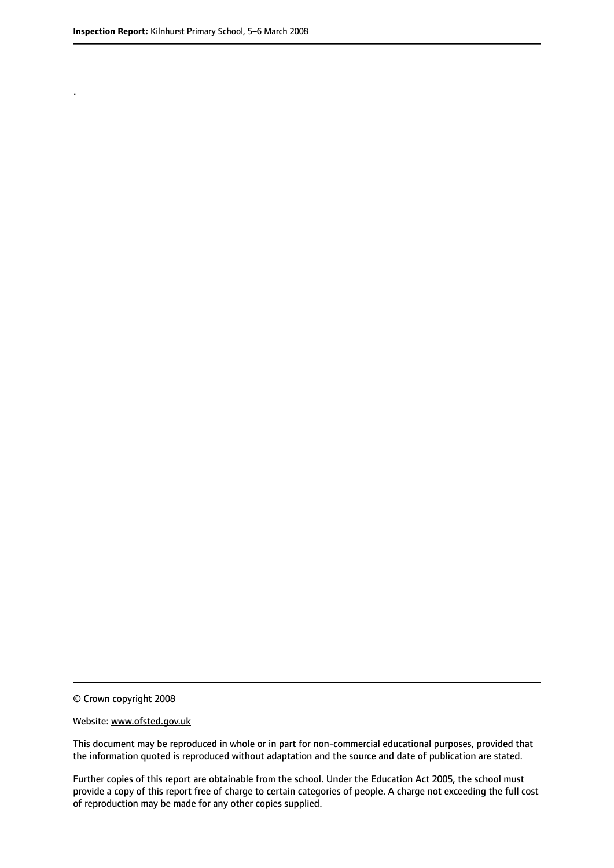.

© Crown copyright 2008

#### Website: www.ofsted.gov.uk

This document may be reproduced in whole or in part for non-commercial educational purposes, provided that the information quoted is reproduced without adaptation and the source and date of publication are stated.

Further copies of this report are obtainable from the school. Under the Education Act 2005, the school must provide a copy of this report free of charge to certain categories of people. A charge not exceeding the full cost of reproduction may be made for any other copies supplied.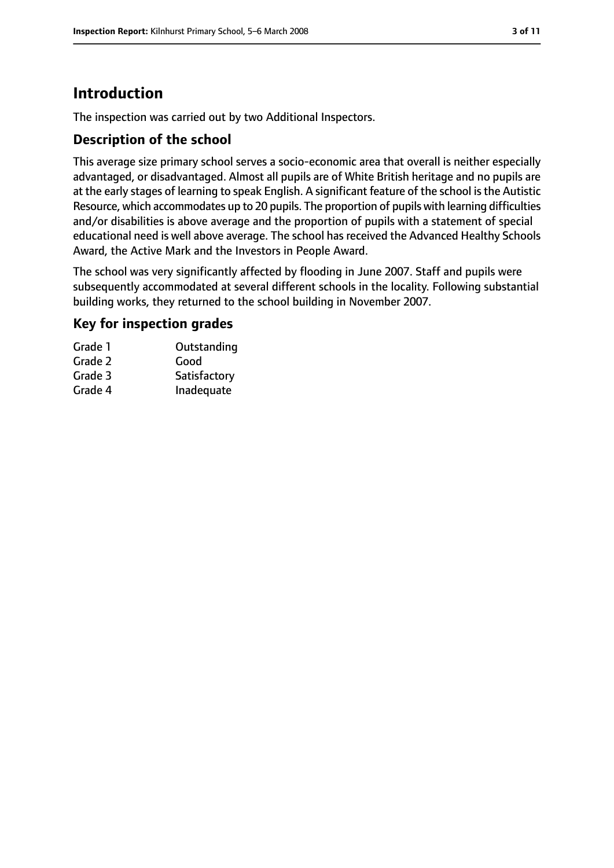# **Introduction**

The inspection was carried out by two Additional Inspectors.

#### **Description of the school**

This average size primary school serves a socio-economic area that overall is neither especially advantaged, or disadvantaged. Almost all pupils are of White British heritage and no pupils are at the early stages of learning to speak English. A significant feature of the school is the Autistic Resource, which accommodates up to 20 pupils. The proportion of pupils with learning difficulties and/or disabilities is above average and the proportion of pupils with a statement of special educational need is well above average. The school has received the Advanced Healthy Schools Award, the Active Mark and the Investors in People Award.

The school was very significantly affected by flooding in June 2007. Staff and pupils were subsequently accommodated at several different schools in the locality. Following substantial building works, they returned to the school building in November 2007.

#### **Key for inspection grades**

| Grade 1 | Outstanding  |
|---------|--------------|
| Grade 2 | Good         |
| Grade 3 | Satisfactory |
| Grade 4 | Inadequate   |
|         |              |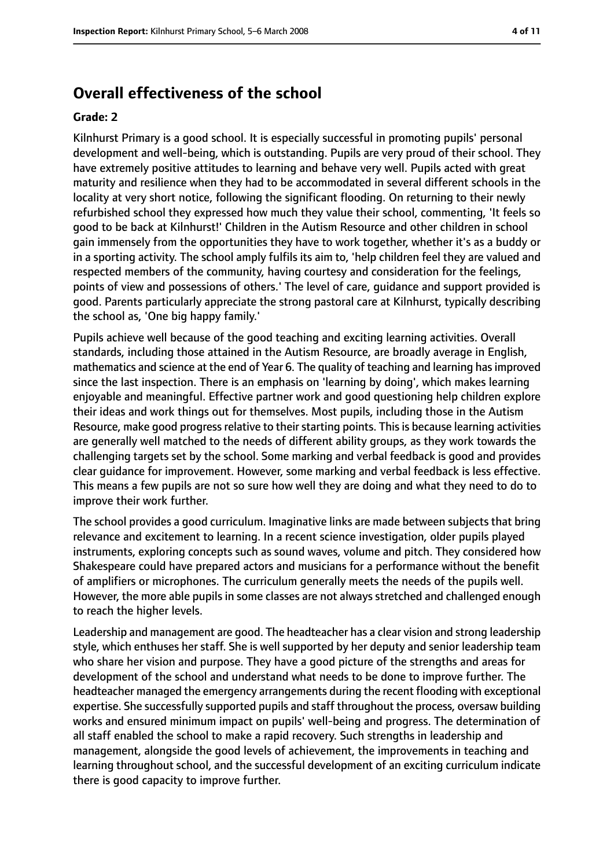## **Overall effectiveness of the school**

#### **Grade: 2**

Kilnhurst Primary is a good school. It is especially successful in promoting pupils' personal development and well-being, which is outstanding. Pupils are very proud of their school. They have extremely positive attitudes to learning and behave very well. Pupils acted with great maturity and resilience when they had to be accommodated in several different schools in the locality at very short notice, following the significant flooding. On returning to their newly refurbished school they expressed how much they value their school, commenting, 'It feels so good to be back at Kilnhurst!' Children in the Autism Resource and other children in school gain immensely from the opportunities they have to work together, whether it's as a buddy or in a sporting activity. The school amply fulfils its aim to, 'help children feel they are valued and respected members of the community, having courtesy and consideration for the feelings, points of view and possessions of others.' The level of care, guidance and support provided is good. Parents particularly appreciate the strong pastoral care at Kilnhurst, typically describing the school as, 'One big happy family.'

Pupils achieve well because of the good teaching and exciting learning activities. Overall standards, including those attained in the Autism Resource, are broadly average in English, mathematics and science at the end of Year 6. The quality of teaching and learning hasimproved since the last inspection. There is an emphasis on 'learning by doing', which makes learning enjoyable and meaningful. Effective partner work and good questioning help children explore their ideas and work things out for themselves. Most pupils, including those in the Autism Resource, make good progress relative to their starting points. This is because learning activities are generally well matched to the needs of different ability groups, as they work towards the challenging targets set by the school. Some marking and verbal feedback is good and provides clear guidance for improvement. However, some marking and verbal feedback is less effective. This means a few pupils are not so sure how well they are doing and what they need to do to improve their work further.

The school provides a good curriculum. Imaginative links are made between subjects that bring relevance and excitement to learning. In a recent science investigation, older pupils played instruments, exploring concepts such as sound waves, volume and pitch. They considered how Shakespeare could have prepared actors and musicians for a performance without the benefit of amplifiers or microphones. The curriculum generally meets the needs of the pupils well. However, the more able pupils in some classes are not always stretched and challenged enough to reach the higher levels.

Leadership and management are good. The headteacher has a clear vision and strong leadership style, which enthuses her staff. She is well supported by her deputy and senior leadership team who share her vision and purpose. They have a good picture of the strengths and areas for development of the school and understand what needs to be done to improve further. The headteacher managed the emergency arrangements during the recent flooding with exceptional expertise. She successfully supported pupils and staff throughout the process, oversaw building works and ensured minimum impact on pupils' well-being and progress. The determination of all staff enabled the school to make a rapid recovery. Such strengths in leadership and management, alongside the good levels of achievement, the improvements in teaching and learning throughout school, and the successful development of an exciting curriculum indicate there is good capacity to improve further.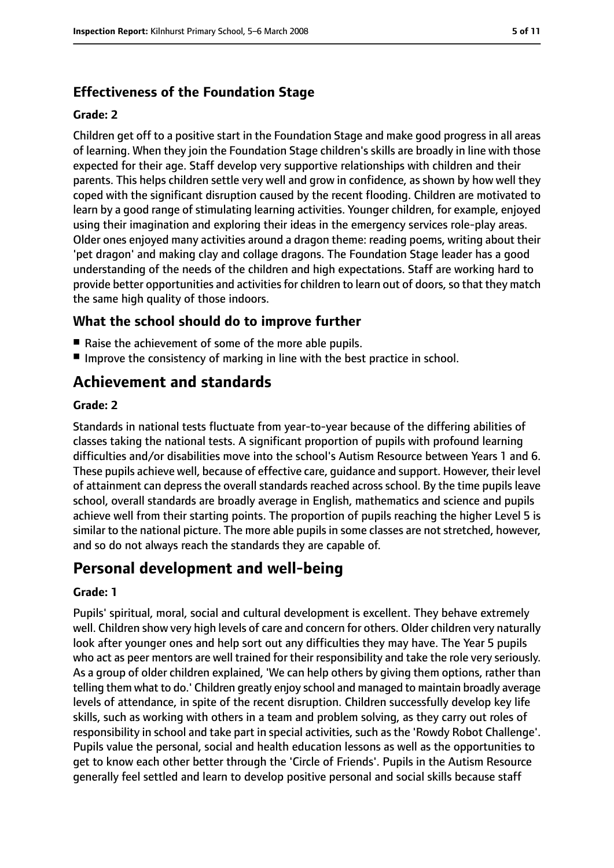## **Effectiveness of the Foundation Stage**

#### **Grade: 2**

Children get off to a positive start in the Foundation Stage and make good progress in all areas of learning. When they join the Foundation Stage children's skills are broadly in line with those expected for their age. Staff develop very supportive relationships with children and their parents. This helps children settle very well and grow in confidence, as shown by how well they coped with the significant disruption caused by the recent flooding. Children are motivated to learn by a good range of stimulating learning activities. Younger children, for example, enjoyed using their imagination and exploring their ideas in the emergency services role-play areas. Older ones enjoyed many activities around a dragon theme: reading poems, writing about their 'pet dragon' and making clay and collage dragons. The Foundation Stage leader has a good understanding of the needs of the children and high expectations. Staff are working hard to provide better opportunities and activities for children to learn out of doors, so that they match the same high quality of those indoors.

#### **What the school should do to improve further**

- Raise the achievement of some of the more able pupils.
- Improve the consistency of marking in line with the best practice in school.

## **Achievement and standards**

#### **Grade: 2**

Standards in national tests fluctuate from year-to-year because of the differing abilities of classes taking the national tests. A significant proportion of pupils with profound learning difficulties and/or disabilities move into the school's Autism Resource between Years 1 and 6. These pupils achieve well, because of effective care, guidance and support. However, their level of attainment can depress the overall standards reached across school. By the time pupils leave school, overall standards are broadly average in English, mathematics and science and pupils achieve well from their starting points. The proportion of pupils reaching the higher Level 5 is similar to the national picture. The more able pupils in some classes are not stretched, however, and so do not always reach the standards they are capable of.

## **Personal development and well-being**

#### **Grade: 1**

Pupils' spiritual, moral, social and cultural development is excellent. They behave extremely well. Children show very high levels of care and concern for others. Older children very naturally look after younger ones and help sort out any difficulties they may have. The Year 5 pupils who act as peer mentors are well trained for their responsibility and take the role very seriously. As a group of older children explained, 'We can help others by giving them options, rather than telling them what to do.' Children greatly enjoy school and managed to maintain broadly average levels of attendance, in spite of the recent disruption. Children successfully develop key life skills, such as working with others in a team and problem solving, as they carry out roles of responsibility in school and take part in special activities, such as the 'Rowdy Robot Challenge'. Pupils value the personal, social and health education lessons as well as the opportunities to get to know each other better through the 'Circle of Friends'. Pupils in the Autism Resource generally feel settled and learn to develop positive personal and social skills because staff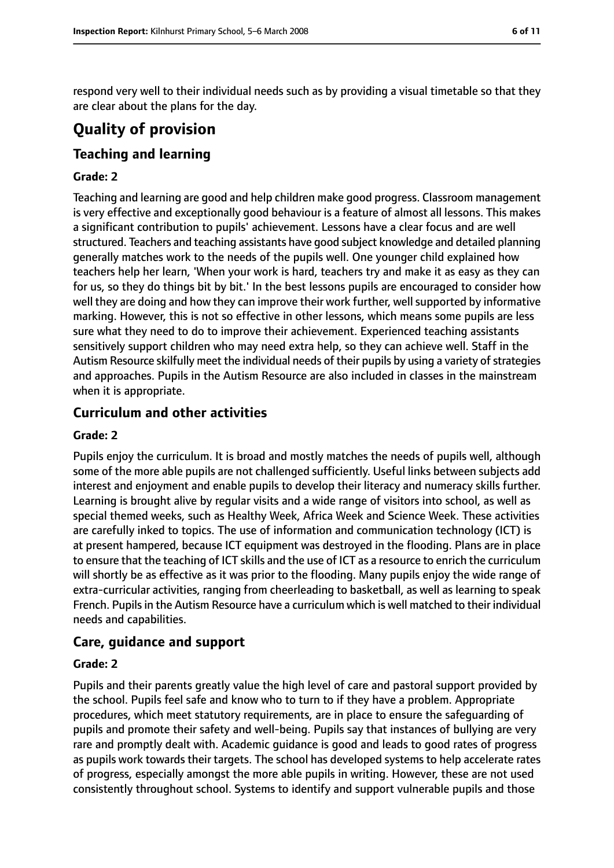respond very well to their individual needs such as by providing a visual timetable so that they are clear about the plans for the day.

# **Quality of provision**

## **Teaching and learning**

#### **Grade: 2**

Teaching and learning are good and help children make good progress. Classroom management is very effective and exceptionally good behaviour is a feature of almost all lessons. This makes a significant contribution to pupils' achievement. Lessons have a clear focus and are well structured. Teachers and teaching assistants have good subject knowledge and detailed planning generally matches work to the needs of the pupils well. One younger child explained how teachers help her learn, 'When your work is hard, teachers try and make it as easy as they can for us, so they do things bit by bit.' In the best lessons pupils are encouraged to consider how well they are doing and how they can improve their work further, well supported by informative marking. However, this is not so effective in other lessons, which means some pupils are less sure what they need to do to improve their achievement. Experienced teaching assistants sensitively support children who may need extra help, so they can achieve well. Staff in the Autism Resource skilfully meet the individual needs of their pupils by using a variety of strategies and approaches. Pupils in the Autism Resource are also included in classes in the mainstream when it is appropriate.

## **Curriculum and other activities**

#### **Grade: 2**

Pupils enjoy the curriculum. It is broad and mostly matches the needs of pupils well, although some of the more able pupils are not challenged sufficiently. Useful links between subjects add interest and enjoyment and enable pupils to develop their literacy and numeracy skills further. Learning is brought alive by regular visits and a wide range of visitors into school, as well as special themed weeks, such as Healthy Week, Africa Week and Science Week. These activities are carefully inked to topics. The use of information and communication technology (ICT) is at present hampered, because ICT equipment was destroyed in the flooding. Plans are in place to ensure that the teaching of ICT skills and the use of ICT as a resource to enrich the curriculum will shortly be as effective as it was prior to the flooding. Many pupils enjoy the wide range of extra-curricular activities, ranging from cheerleading to basketball, as well as learning to speak French. Pupils in the Autism Resource have a curriculum which is well matched to their individual needs and capabilities.

#### **Care, guidance and support**

#### **Grade: 2**

Pupils and their parents greatly value the high level of care and pastoral support provided by the school. Pupils feel safe and know who to turn to if they have a problem. Appropriate procedures, which meet statutory requirements, are in place to ensure the safeguarding of pupils and promote their safety and well-being. Pupils say that instances of bullying are very rare and promptly dealt with. Academic guidance is good and leads to good rates of progress as pupils work towards their targets. The school has developed systems to help accelerate rates of progress, especially amongst the more able pupils in writing. However, these are not used consistently throughout school. Systems to identify and support vulnerable pupils and those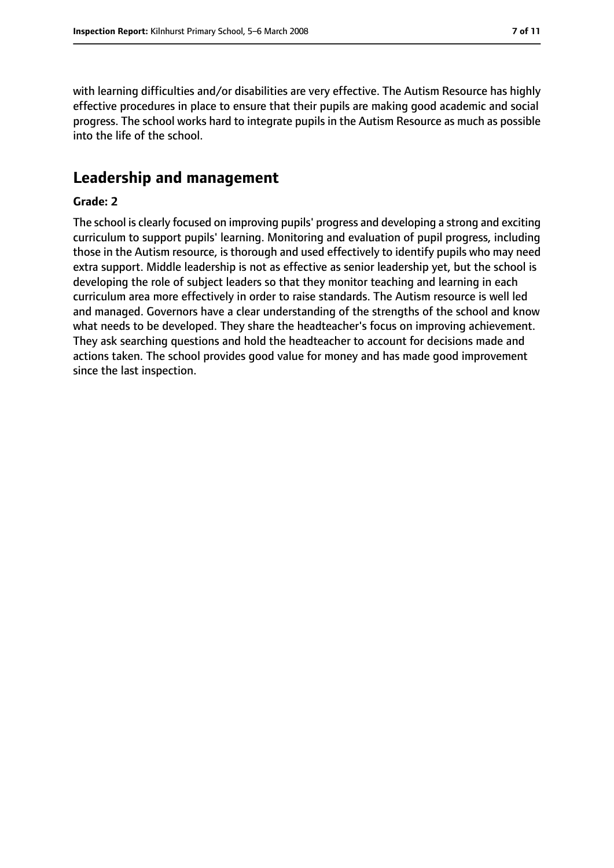with learning difficulties and/or disabilities are very effective. The Autism Resource has highly effective procedures in place to ensure that their pupils are making good academic and social progress. The school works hard to integrate pupils in the Autism Resource as much as possible into the life of the school.

## **Leadership and management**

#### **Grade: 2**

The school is clearly focused on improving pupils' progress and developing a strong and exciting curriculum to support pupils' learning. Monitoring and evaluation of pupil progress, including those in the Autism resource, is thorough and used effectively to identify pupils who may need extra support. Middle leadership is not as effective as senior leadership yet, but the school is developing the role of subject leaders so that they monitor teaching and learning in each curriculum area more effectively in order to raise standards. The Autism resource is well led and managed. Governors have a clear understanding of the strengths of the school and know what needs to be developed. They share the headteacher's focus on improving achievement. They ask searching questions and hold the headteacher to account for decisions made and actions taken. The school provides good value for money and has made good improvement since the last inspection.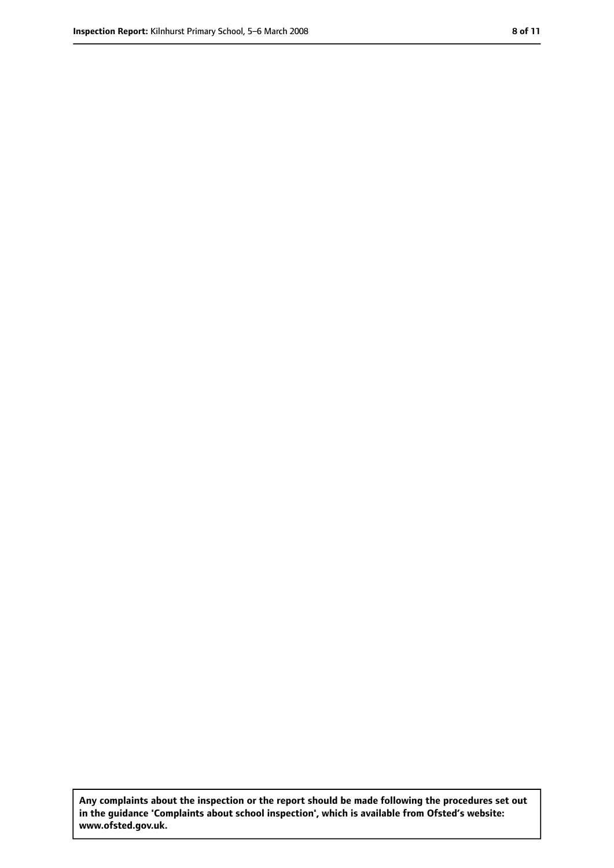**Any complaints about the inspection or the report should be made following the procedures set out in the guidance 'Complaints about school inspection', which is available from Ofsted's website: www.ofsted.gov.uk.**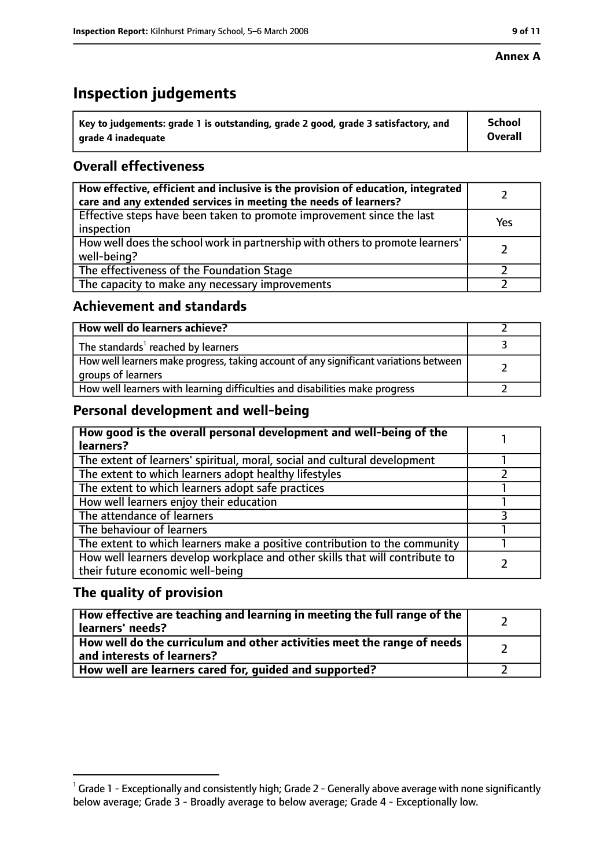#### **Annex A**

# **Inspection judgements**

| $\degree$ Key to judgements: grade 1 is outstanding, grade 2 good, grade 3 satisfactory, and | School         |
|----------------------------------------------------------------------------------------------|----------------|
| arade 4 inadequate                                                                           | <b>Overall</b> |

## **Overall effectiveness**

| How effective, efficient and inclusive is the provision of education, integrated<br>care and any extended services in meeting the needs of learners? |     |
|------------------------------------------------------------------------------------------------------------------------------------------------------|-----|
| Effective steps have been taken to promote improvement since the last<br>inspection                                                                  | Yes |
| How well does the school work in partnership with others to promote learners'<br>well-being?                                                         |     |
| The effectiveness of the Foundation Stage                                                                                                            |     |
| The capacity to make any necessary improvements                                                                                                      |     |

#### **Achievement and standards**

| How well do learners achieve?                                                                               |  |
|-------------------------------------------------------------------------------------------------------------|--|
| The standards <sup>1</sup> reached by learners                                                              |  |
| How well learners make progress, taking account of any significant variations between<br>groups of learners |  |
| How well learners with learning difficulties and disabilities make progress                                 |  |

#### **Personal development and well-being**

| How good is the overall personal development and well-being of the<br>learners?                                  |  |
|------------------------------------------------------------------------------------------------------------------|--|
| The extent of learners' spiritual, moral, social and cultural development                                        |  |
| The extent to which learners adopt healthy lifestyles                                                            |  |
| The extent to which learners adopt safe practices                                                                |  |
| How well learners enjoy their education                                                                          |  |
| The attendance of learners                                                                                       |  |
| The behaviour of learners                                                                                        |  |
| The extent to which learners make a positive contribution to the community                                       |  |
| How well learners develop workplace and other skills that will contribute to<br>their future economic well-being |  |

#### **The quality of provision**

| How effective are teaching and learning in meeting the full range of the<br>learners' needs?          |  |
|-------------------------------------------------------------------------------------------------------|--|
| How well do the curriculum and other activities meet the range of needs<br>and interests of learners? |  |
| How well are learners cared for, quided and supported?                                                |  |

 $^1$  Grade 1 - Exceptionally and consistently high; Grade 2 - Generally above average with none significantly below average; Grade 3 - Broadly average to below average; Grade 4 - Exceptionally low.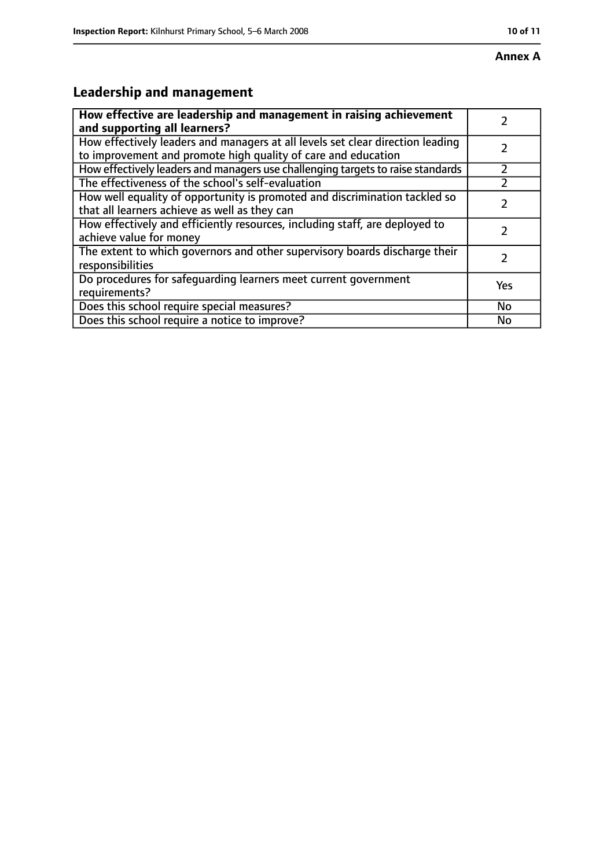# **Leadership and management**

| How effective are leadership and management in raising achievement<br>and supporting all learners?                                              |     |
|-------------------------------------------------------------------------------------------------------------------------------------------------|-----|
| How effectively leaders and managers at all levels set clear direction leading<br>to improvement and promote high quality of care and education |     |
| How effectively leaders and managers use challenging targets to raise standards                                                                 |     |
| The effectiveness of the school's self-evaluation                                                                                               |     |
| How well equality of opportunity is promoted and discrimination tackled so<br>that all learners achieve as well as they can                     |     |
| How effectively and efficiently resources, including staff, are deployed to<br>achieve value for money                                          | 7   |
| The extent to which governors and other supervisory boards discharge their<br>responsibilities                                                  | 7   |
| Do procedures for safequarding learners meet current government<br>requirements?                                                                | Yes |
| Does this school require special measures?                                                                                                      | No  |
| Does this school require a notice to improve?                                                                                                   | No  |